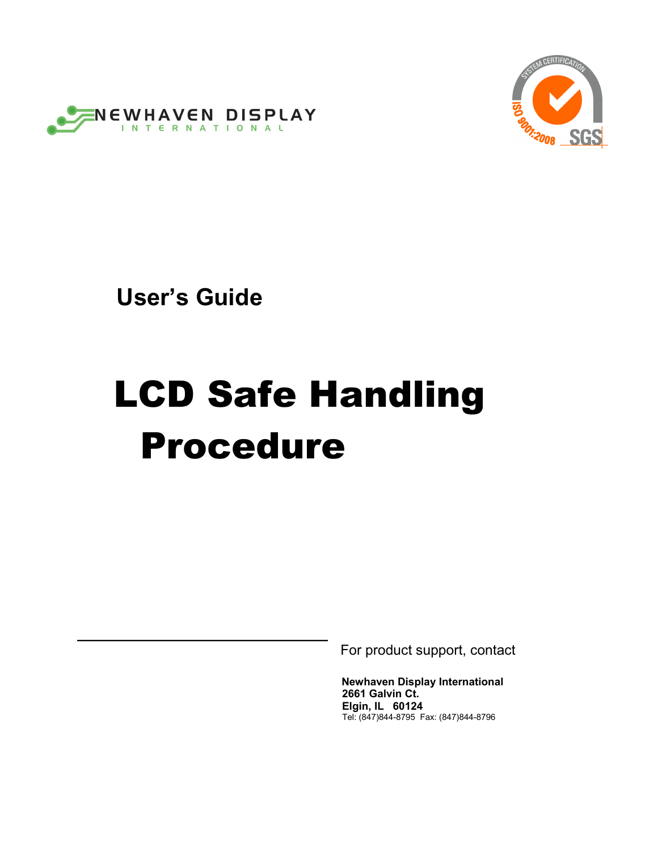



 **User's Guide** 

**\_\_\_\_\_\_\_\_\_\_\_\_\_\_\_\_\_\_\_\_\_\_\_\_\_\_\_\_\_\_**

# LCD Safe Handling Procedure

For product support, contact

**Newhaven Display International 2661 Galvin Ct. Elgin, IL 60124** Tel: (847)844-8795 Fax: (847)844-8796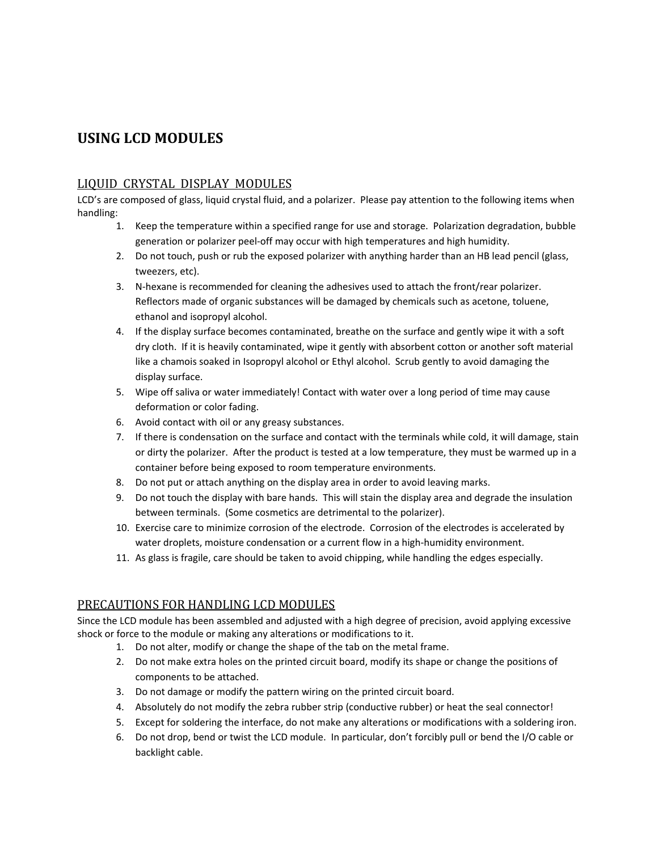# **USING LCD MODULES**

## LIQUID CRYSTAL DISPLAY MODULES

LCD's are composed of glass, liquid crystal fluid, and a polarizer. Please pay attention to the following items when handling:

- 1. Keep the temperature within a specified range for use and storage. Polarization degradation, bubble generation or polarizer peel‐off may occur with high temperatures and high humidity.
- 2. Do not touch, push or rub the exposed polarizer with anything harder than an HB lead pencil (glass, tweezers, etc).
- 3. N‐hexane is recommended for cleaning the adhesives used to attach the front/rear polarizer. Reflectors made of organic substances will be damaged by chemicals such as acetone, toluene, ethanol and isopropyl alcohol.
- 4. If the display surface becomes contaminated, breathe on the surface and gently wipe it with a soft dry cloth. If it is heavily contaminated, wipe it gently with absorbent cotton or another soft material like a chamois soaked in Isopropyl alcohol or Ethyl alcohol. Scrub gently to avoid damaging the display surface.
- 5. Wipe off saliva or water immediately! Contact with water over a long period of time may cause deformation or color fading.
- 6. Avoid contact with oil or any greasy substances.
- 7. If there is condensation on the surface and contact with the terminals while cold, it will damage, stain or dirty the polarizer. After the product is tested at a low temperature, they must be warmed up in a container before being exposed to room temperature environments.
- 8. Do not put or attach anything on the display area in order to avoid leaving marks.
- 9. Do not touch the display with bare hands. This will stain the display area and degrade the insulation between terminals. (Some cosmetics are detrimental to the polarizer).
- 10. Exercise care to minimize corrosion of the electrode. Corrosion of the electrodes is accelerated by water droplets, moisture condensation or a current flow in a high-humidity environment.
- 11. As glass is fragile, care should be taken to avoid chipping, while handling the edges especially.

## PRECAUTIONS FOR HANDLING LCD MODULES

Since the LCD module has been assembled and adjusted with a high degree of precision, avoid applying excessive shock or force to the module or making any alterations or modifications to it.

- 1. Do not alter, modify or change the shape of the tab on the metal frame.
- 2. Do not make extra holes on the printed circuit board, modify its shape or change the positions of components to be attached.
- 3. Do not damage or modify the pattern wiring on the printed circuit board.
- 4. Absolutely do not modify the zebra rubber strip (conductive rubber) or heat the seal connector!
- 5. Except for soldering the interface, do not make any alterations or modifications with a soldering iron.
- 6. Do not drop, bend or twist the LCD module. In particular, don't forcibly pull or bend the I/O cable or backlight cable.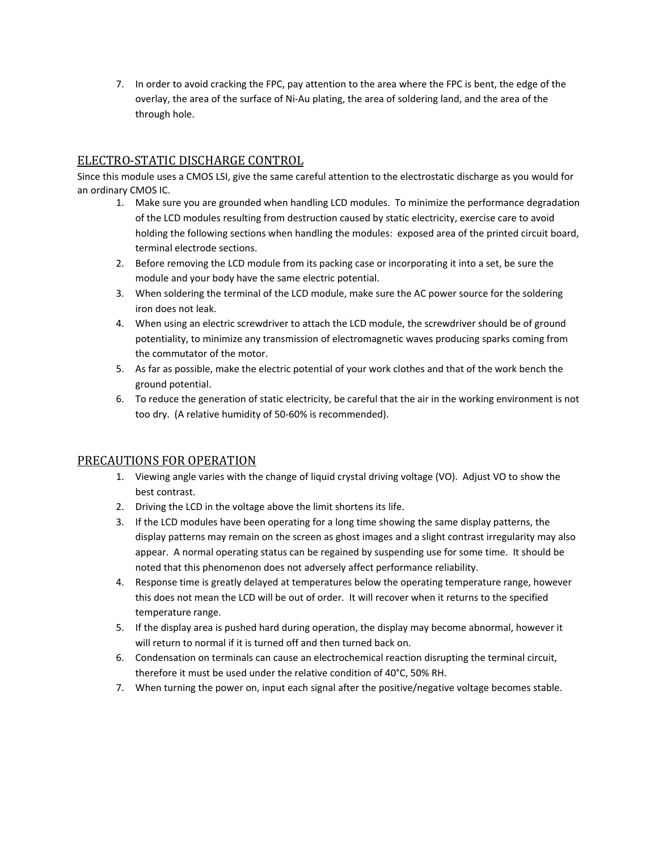7. In order to avoid cracking the FPC, pay attention to the area where the FPC is bent, the edge of the overlay, the area of the surface of Ni‐Au plating, the area of soldering land, and the area of the through hole.

# ELECTRO‐STATIC DISCHARGE CONTROL

Since this module uses a CMOS LSI, give the same careful attention to the electrostatic discharge as you would for an ordinary CMOS IC.

- 1. Make sure you are grounded when handling LCD modules. To minimize the performance degradation of the LCD modules resulting from destruction caused by static electricity, exercise care to avoid holding the following sections when handling the modules: exposed area of the printed circuit board, terminal electrode sections.
- 2. Before removing the LCD module from its packing case or incorporating it into a set, be sure the module and your body have the same electric potential.
- 3. When soldering the terminal of the LCD module, make sure the AC power source for the soldering iron does not leak.
- 4. When using an electric screwdriver to attach the LCD module, the screwdriver should be of ground potentiality, to minimize any transmission of electromagnetic waves producing sparks coming from the commutator of the motor.
- 5. As far as possible, make the electric potential of your work clothes and that of the work bench the ground potential.
- 6. To reduce the generation of static electricity, be careful that the air in the working environment is not too dry. (A relative humidity of 50‐60% is recommended).

## PRECAUTIONS FOR OPERATION

- 1. Viewing angle varies with the change of liquid crystal driving voltage (VO). Adjust VO to show the best contrast.
- 2. Driving the LCD in the voltage above the limit shortens its life.
- 3. If the LCD modules have been operating for a long time showing the same display patterns, the display patterns may remain on the screen as ghost images and a slight contrast irregularity may also appear. A normal operating status can be regained by suspending use for some time. It should be noted that this phenomenon does not adversely affect performance reliability.
- 4. Response time is greatly delayed at temperatures below the operating temperature range, however this does not mean the LCD will be out of order. It will recover when it returns to the specified temperature range.
- 5. If the display area is pushed hard during operation, the display may become abnormal, however it will return to normal if it is turned off and then turned back on.
- 6. Condensation on terminals can cause an electrochemical reaction disrupting the terminal circuit, therefore it must be used under the relative condition of 40°C, 50% RH.
- 7. When turning the power on, input each signal after the positive/negative voltage becomes stable.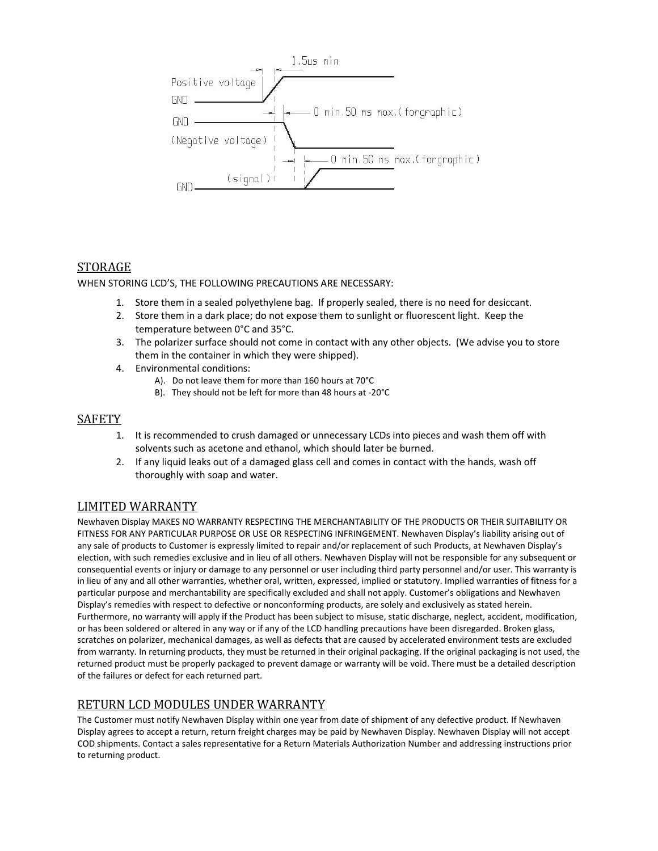

# STORAGE

WHEN STORING LCD'S, THE FOLLOWING PRECAUTIONS ARE NECESSARY:

- 1. Store them in a sealed polyethylene bag. If properly sealed, there is no need for desiccant.
- 2. Store them in a dark place; do not expose them to sunlight or fluorescent light. Keep the temperature between 0°C and 35°C.
- 3. The polarizer surface should not come in contact with any other objects. (We advise you to store them in the container in which they were shipped).
- 4. Environmental conditions:
	- A). Do not leave them for more than 160 hours at 70°C
	- B). They should not be left for more than 48 hours at ‐20°C

#### **SAFETY**

- 1. It is recommended to crush damaged or unnecessary LCDs into pieces and wash them off with solvents such as acetone and ethanol, which should later be burned.
- 2. If any liquid leaks out of a damaged glass cell and comes in contact with the hands, wash off thoroughly with soap and water.

## LIMITED WARRANTY

Newhaven Display MAKES NO WARRANTY RESPECTING THE MERCHANTABILITY OF THE PRODUCTS OR THEIR SUITABILITY OR FITNESS FOR ANY PARTICULAR PURPOSE OR USE OR RESPECTING INFRINGEMENT. Newhaven Display's liability arising out of any sale of products to Customer is expressly limited to repair and/or replacement of such Products, at Newhaven Display's election, with such remedies exclusive and in lieu of all others. Newhaven Display will not be responsible for any subsequent or consequential events or injury or damage to any personnel or user including third party personnel and/or user. This warranty is in lieu of any and all other warranties, whether oral, written, expressed, implied or statutory. Implied warranties of fitness for a particular purpose and merchantability are specifically excluded and shall not apply. Customer's obligations and Newhaven Display's remedies with respect to defective or nonconforming products, are solely and exclusively as stated herein. Furthermore, no warranty will apply if the Product has been subject to misuse, static discharge, neglect, accident, modification, or has been soldered or altered in any way or if any of the LCD handling precautions have been disregarded. Broken glass, scratches on polarizer, mechanical damages, as well as defects that are caused by accelerated environment tests are excluded from warranty. In returning products, they must be returned in their original packaging. If the original packaging is not used, the returned product must be properly packaged to prevent damage or warranty will be void. There must be a detailed description of the failures or defect for each returned part.

# RETURN LCD MODULES UNDER WARRANTY

The Customer must notify Newhaven Display within one year from date of shipment of any defective product. If Newhaven Display agrees to accept a return, return freight charges may be paid by Newhaven Display. Newhaven Display will not accept COD shipments. Contact a sales representative for a Return Materials Authorization Number and addressing instructions prior to returning product.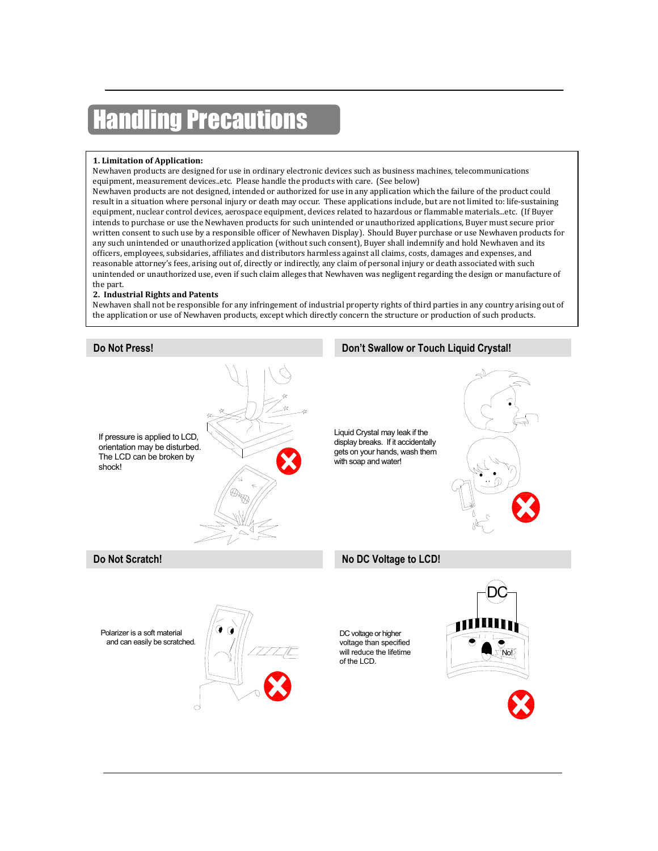# ling Precautions

#### **1. Limitation of Application:**

Newhaven products are designed for use in ordinary electronic devices such as business machines, telecommunications equipment, measurement devices..etc. Please handle the products with care. (See below)

Newhaven products are not designed, intended or authorized for use in any application which the failure of the product could result in a situation where personal injury or death may occur. These applications include, but are not limited to: life-sustaining equipment, nuclear control devices, aerospace equipment, devices related to hazardous or flammable materials...etc. (If Buyer intends to purchase or use the Newhaven products for such unintended or unauthorized applications, Buyer must secure prior written consent to such use by a responsible officer of Newhaven Display). Should Buyer purchase or use Newhaven products for any such unintended or unauthorized application (without such consent), Buyer shall indemnify and hold Newhaven and its of�icers, employees, subsidaries, af�iliates and distributors harmless against all claims, costs, damages and expenses, and reasonable attorney's fees, arising out of, directly or indirectly, any claim of personal injury or death associated with such unintended or unauthorized use, even if such claim alleges that Newhaven was negligent regarding the design or manufacture of the part.

#### **2. Industrial Rights and Patents**

Newhaven shall not be responsible for any infringement of industrial property rights of third parties in any country arising out of the application or use of Newhaven products, except which directly concern the structure or production of such products.

# If pressure is applied to LCD, orientation may be disturbed. The LCD can be broken by shock! Liquid Crystal may leak if the display breaks. If it accidentally gets on your hands, wash them with soap and water! **Do Not Press! Don't Swallow or Touch Liquid Crystal! Do Not Scratch! No DC Voltage to LCD!** Polarizer is a soft material and can easily be scratched. DC No! DC voltage or higher voltage than specified will reduce the lifetime of the LCD.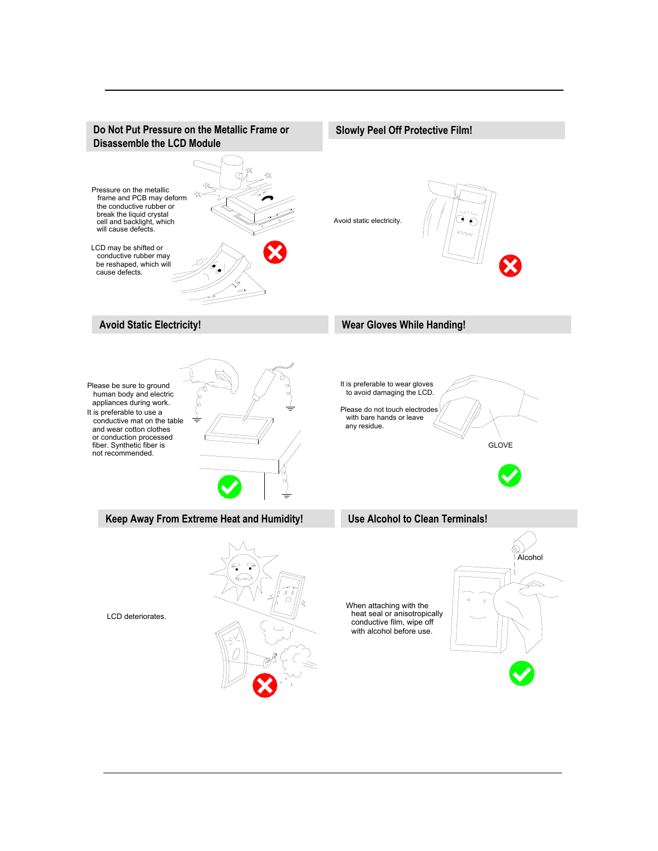